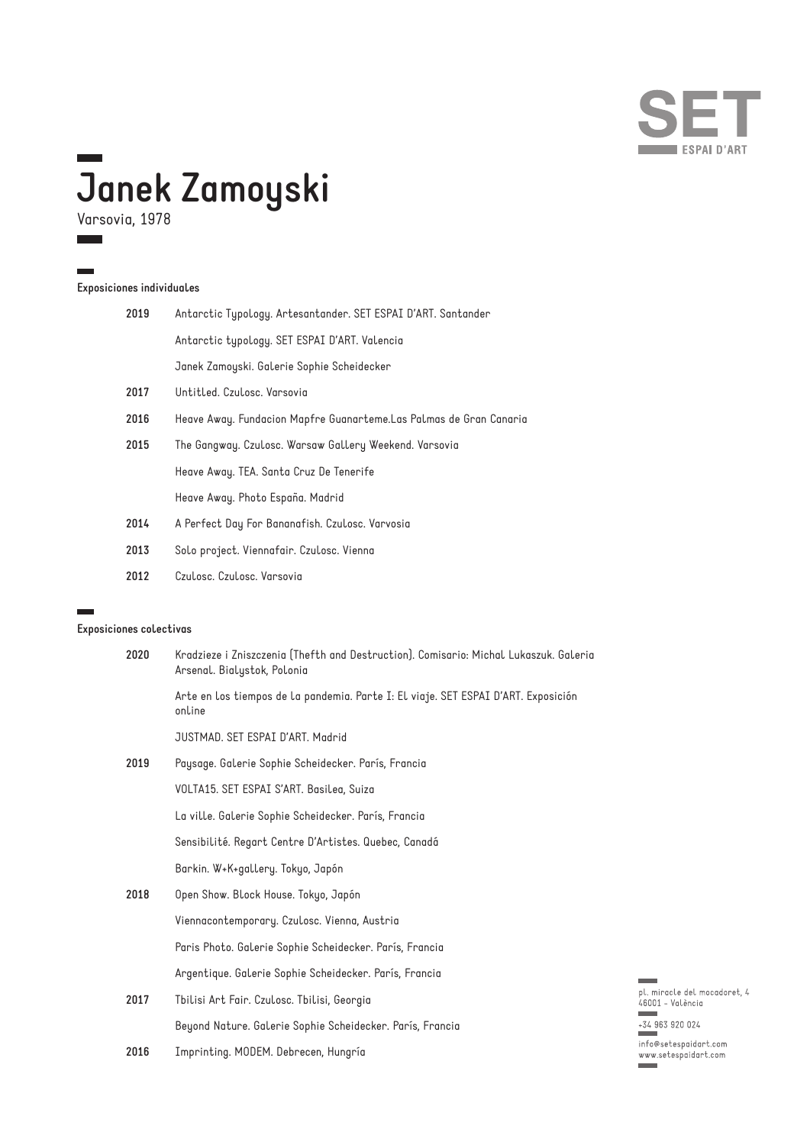

# **Janek Zamoyski**

Varsovia, 1978

 $\mathbb{R}^n$ 

### **Exposiciones individuales**

| 2019 | Antarctic Typology. Artesantander. SET ESPAI D'ART. Santander      |
|------|--------------------------------------------------------------------|
|      | Antarctic typology. SET ESPAI D'ART. Valencia                      |
|      | Janek Zamoyski. Galerie Sophie Scheidecker                         |
| 2017 | Untitled. Czulosc. Varsovia                                        |
| 2016 | Heave Away. Fundacion Mapfre Guanarteme.Las Palmas de Gran Canaria |
| 2015 | The Gangway. Czulosc. Warsaw Gallery Weekend. Varsovia             |
|      | Heave Away. TEA. Santa Cruz De Tenerife                            |
|      | Heave Away. Photo España. Madrid                                   |
| 2014 | A Perfect Day For Bananafish. Czulosc. Varvosia                    |
| 2013 | Solo project. Viennafair. Czulosc. Vienna                          |
|      |                                                                    |

**2012** Czulosc. Czulosc. Varsovia

#### **Exposiciones colectivas**

| 2020 | Kradzieze i Zniszczenia (Thefth and Destruction). Comisario: Michal Lukaszuk. Galeria<br>Arsenal. Bialystok, Polonia |
|------|----------------------------------------------------------------------------------------------------------------------|
|      | Arte en los tiempos de la pandemia. Parte I: El viaje. SET ESPAI D'ART. Exposición<br>online                         |
|      | JUSTMAD. SET ESPAI D'ART. Madrid                                                                                     |
| 2019 | Paysage. Galerie Sophie Scheidecker. París, Francia                                                                  |
|      | VOLTA15. SET ESPAI S'ART. Basilea, Suiza                                                                             |
|      | La ville. Galerie Sophie Scheidecker. París, Francia                                                                 |
|      | Sensibilité. Regart Centre D'Artistes. Quebec, Canadá                                                                |
|      | Barkin. W+K+gallery. Tokyo, Japón                                                                                    |
| 2018 | Open Show. Block House. Tokyo, Japón                                                                                 |
|      | Viennacontemporary. Czulosc. Vienna, Austria                                                                         |
|      | Paris Photo. Galerie Sophie Scheidecker. París, Francia                                                              |
|      | Argentique. Galerie Sophie Scheidecker. París, Francia                                                               |
| 2017 | Tbilisi Art Fair. Czulosc. Tbilisi, Georgia                                                                          |
|      | Beyond Nature. Galerie Sophie Scheidecker. París, Francia                                                            |

**2016** Imprinting. MODEM. Debrecen, Hungría



info@setespaidart.com<br>www.setespaidart.com<br>www.setespaidart.com  $\equiv$